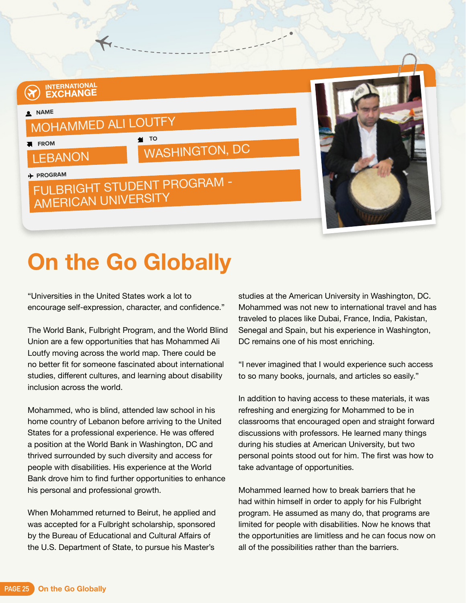## **INTERNATIONAL EXCHANGE NAME** MOHAMMED ALI LOUTFY **FROM LEBANON M** TO WASHINGTON, DC **PROGRAM** FULBRIGHT STUDENT PROGRAM - AMERICAN UNIVERSITY

## **On the Go Globally**

"Universities in the United States work a lot to encourage self-expression, character, and confidence."

The World Bank, Fulbright Program, and the World Blind Union are a few opportunities that has Mohammed Ali Loutfy moving across the world map. There could be no better fit for someone fascinated about international studies, different cultures, and learning about disability inclusion across the world.

Mohammed, who is blind, attended law school in his home country of Lebanon before arriving to the United States for a professional experience. He was offered a position at the World Bank in Washington, DC and thrived surrounded by such diversity and access for people with disabilities. His experience at the World Bank drove him to find further opportunities to enhance his personal and professional growth.

When Mohammed returned to Beirut, he applied and was accepted for a Fulbright scholarship, sponsored by the Bureau of Educational and Cultural Affairs of the U.S. Department of State, to pursue his Master's

studies at the American University in Washington, DC. Mohammed was not new to international travel and has traveled to places like Dubai, France, India, Pakistan, Senegal and Spain, but his experience in Washington, DC remains one of his most enriching.

"I never imagined that I would experience such access to so many books, journals, and articles so easily."

In addition to having access to these materials, it was refreshing and energizing for Mohammed to be in classrooms that encouraged open and straight forward discussions with professors. He learned many things during his studies at American University, but two personal points stood out for him. The first was how to take advantage of opportunities.

Mohammed learned how to break barriers that he had within himself in order to apply for his Fulbright program. He assumed as many do, that programs are limited for people with disabilities. Now he knows that the opportunities are limitless and he can focus now on all of the possibilities rather than the barriers.